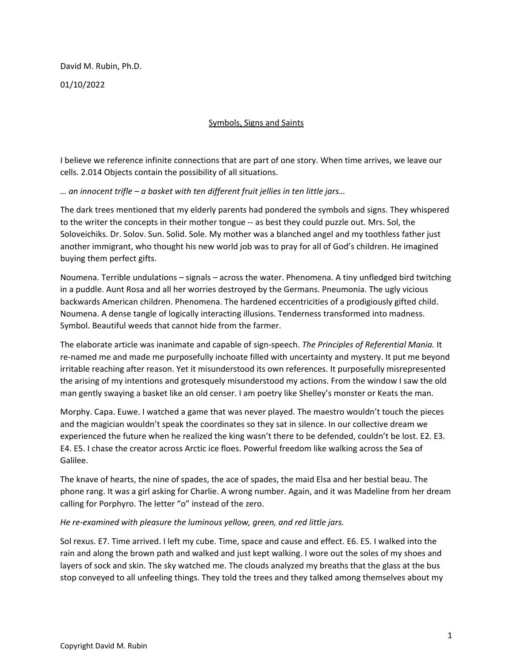David M. Rubin, Ph.D.

01/10/2022

# Symbols, Signs and Saints

I believe we reference infinite connections that are part of one story. When time arrives, we leave our cells. 2.014 Objects contain the possibility of all situations.

## *… an innocent trifle – a basket with ten different fruit jellies in ten little jars…*

The dark trees mentioned that my elderly parents had pondered the symbols and signs. They whispered to the writer the concepts in their mother tongue -- as best they could puzzle out. Mrs. Sol, the Soloveichiks. Dr. Solov. Sun. Solid. Sole. My mother was a blanched angel and my toothless father just another immigrant, who thought his new world job was to pray for all of God's children. He imagined buying them perfect gifts.

Noumena. Terrible undulations – signals – across the water. Phenomena. A tiny unfledged bird twitching in a puddle. Aunt Rosa and all her worries destroyed by the Germans. Pneumonia. The ugly vicious backwards American children. Phenomena. The hardened eccentricities of a prodigiously gifted child. Noumena. A dense tangle of logically interacting illusions. Tenderness transformed into madness. Symbol. Beautiful weeds that cannot hide from the farmer.

The elaborate article was inanimate and capable of sign-speech. *The Principles of Referential Mania.* It re-named me and made me purposefully inchoate filled with uncertainty and mystery. It put me beyond irritable reaching after reason. Yet it misunderstood its own references. It purposefully misrepresented the arising of my intentions and grotesquely misunderstood my actions. From the window I saw the old man gently swaying a basket like an old censer. I am poetry like Shelley's monster or Keats the man.

Morphy. Capa. Euwe. I watched a game that was never played. The maestro wouldn't touch the pieces and the magician wouldn't speak the coordinates so they sat in silence. In our collective dream we experienced the future when he realized the king wasn't there to be defended, couldn't be lost. E2. E3. E4. E5. I chase the creator across Arctic ice floes. Powerful freedom like walking across the Sea of Galilee.

The knave of hearts, the nine of spades, the ace of spades, the maid Elsa and her bestial beau. The phone rang. It was a girl asking for Charlie. A wrong number. Again, and it was Madeline from her dream calling for Porphyro. The letter "o" instead of the zero.

## *He re-examined with pleasure the luminous yellow, green, and red little jars.*

Sol rexus. E7. Time arrived. I left my cube. Time, space and cause and effect. E6. E5. I walked into the rain and along the brown path and walked and just kept walking. I wore out the soles of my shoes and layers of sock and skin. The sky watched me. The clouds analyzed my breaths that the glass at the bus stop conveyed to all unfeeling things. They told the trees and they talked among themselves about my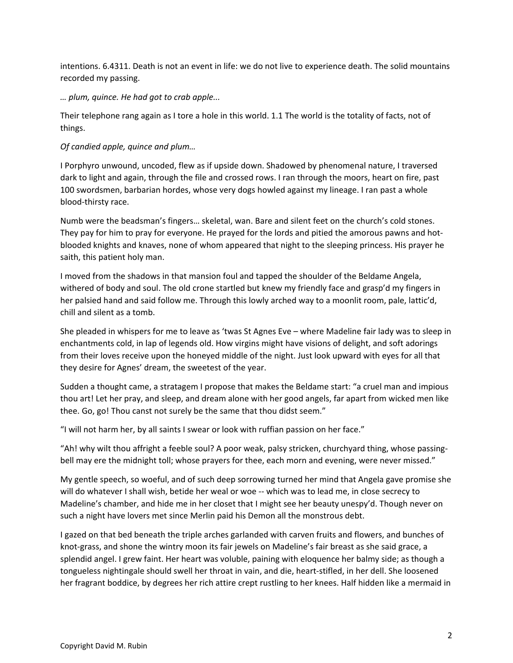intentions. 6.4311. Death is not an event in life: we do not live to experience death. The solid mountains recorded my passing.

*… plum, quince. He had got to crab apple...*

Their telephone rang again as I tore a hole in this world. 1.1 The world is the totality of facts, not of things.

*Of candied apple, quince and plum…* 

I Porphyro unwound, uncoded, flew as if upside down. Shadowed by phenomenal nature, I traversed dark to light and again, through the file and crossed rows. I ran through the moors, heart on fire, past 100 swordsmen, barbarian hordes, whose very dogs howled against my lineage. I ran past a whole blood-thirsty race.

Numb were the beadsman's fingers… skeletal, wan. Bare and silent feet on the church's cold stones. They pay for him to pray for everyone. He prayed for the lords and pitied the amorous pawns and hotblooded knights and knaves, none of whom appeared that night to the sleeping princess. His prayer he saith, this patient holy man.

I moved from the shadows in that mansion foul and tapped the shoulder of the Beldame Angela, withered of body and soul. The old crone startled but knew my friendly face and grasp'd my fingers in her palsied hand and said follow me. Through this lowly arched way to a moonlit room, pale, lattic'd, chill and silent as a tomb.

She pleaded in whispers for me to leave as 'twas St Agnes Eve – where Madeline fair lady was to sleep in enchantments cold, in lap of legends old. How virgins might have visions of delight, and soft adorings from their loves receive upon the honeyed middle of the night. Just look upward with eyes for all that they desire for Agnes' dream, the sweetest of the year.

Sudden a thought came, a stratagem I propose that makes the Beldame start: "a cruel man and impious thou art! Let her pray, and sleep, and dream alone with her good angels, far apart from wicked men like thee. Go, go! Thou canst not surely be the same that thou didst seem."

"I will not harm her, by all saints I swear or look with ruffian passion on her face."

"Ah! why wilt thou affright a feeble soul? A poor weak, palsy stricken, churchyard thing, whose passingbell may ere the midnight toll; whose prayers for thee, each morn and evening, were never missed."

My gentle speech, so woeful, and of such deep sorrowing turned her mind that Angela gave promise she will do whatever I shall wish, betide her weal or woe -- which was to lead me, in close secrecy to Madeline's chamber, and hide me in her closet that I might see her beauty unespy'd. Though never on such a night have lovers met since Merlin paid his Demon all the monstrous debt.

I gazed on that bed beneath the triple arches garlanded with carven fruits and flowers, and bunches of knot-grass, and shone the wintry moon its fair jewels on Madeline's fair breast as she said grace, a splendid angel. I grew faint. Her heart was voluble, paining with eloquence her balmy side; as though a tongueless nightingale should swell her throat in vain, and die, heart-stifled, in her dell. She loosened her fragrant boddice, by degrees her rich attire crept rustling to her knees. Half hidden like a mermaid in